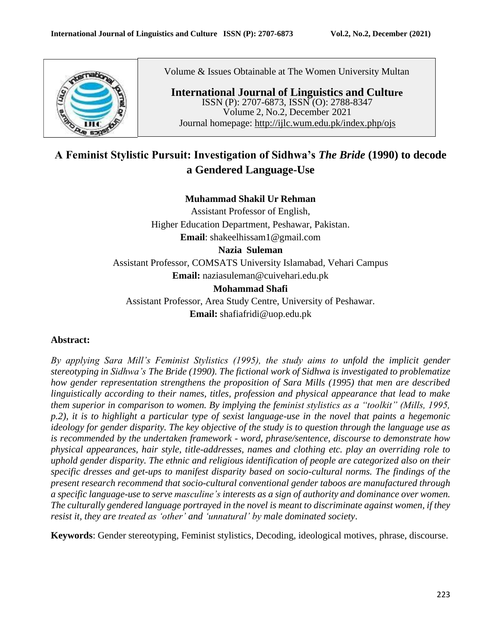

Volume & Issues Obtainable at The Women University Multan

**International Journal of Linguistics and Culture** ISSN (P): 2707-6873, ISSN (O): 2788-8347 Volume 2, No.2, December 2021 Journal homepage: <http://ijlc.wum.edu.pk/index.php/ojs>

# **A Feminist Stylistic Pursuit: Investigation of Sidhwa's** *The Bride* **(1990) to decode a Gendered Language-Use**

### **Muhammad Shakil Ur Rehman**

Assistant Professor of English, Higher Education Department, Peshawar, Pakistan. **Email**: [shakeelhissam1@gmail.com](mailto:shakeelhissam1@gmail.com)

### **Nazia Suleman**

Assistant Professor, COMSATS University Islamabad, Vehari Campus **Email:** [naziasuleman@cuivehari.edu.pk](mailto:naziasuleman@cuivehari.edu.pk)

### **Mohammad Shafi**

Assistant Professor, Area Study Centre, University of Peshawar. **Email:** [shafiafridi@uop.edu.pk](mailto:shafiafridi@uop.edu.pk)

### **Abstract:**

*By applying Sara Mill's Feminist Stylistics (1995), the study aims to unfold the implicit gender stereotyping in Sidhwa's The Bride (1990). The fictional work of Sidhwa is investigated to problematize how gender representation strengthens the proposition of Sara Mills (1995) that men are described linguistically according to their names, titles, profession and physical appearance that lead to make them superior in comparison to women. By implying the feminist stylistics as a "toolkit" (Mills, 1995, p.2), it is to highlight a particular type of sexist language-use in the novel that paints a hegemonic ideology for gender disparity. The key objective of the study is to question through the language use as is recommended by the undertaken framework - word, phrase/sentence, discourse to demonstrate how physical appearances, hair style, title-addresses, names and clothing etc. play an overriding role to uphold gender disparity. The ethnic and religious identification of people are categorized also on their specific dresses and get-ups to manifest disparity based on socio-cultural norms. The findings of the present research recommend that socio-cultural conventional gender taboos are manufactured through a specific language-use to serve masculine's interests as a sign of authority and dominance over women. The culturally gendered language portrayed in the novel is meant to discriminate against women, if they resist it, they are treated as 'other' and 'unnatural' by male dominated society*.

**Keywords**: Gender stereotyping, Feminist stylistics, Decoding, ideological motives, phrase, discourse.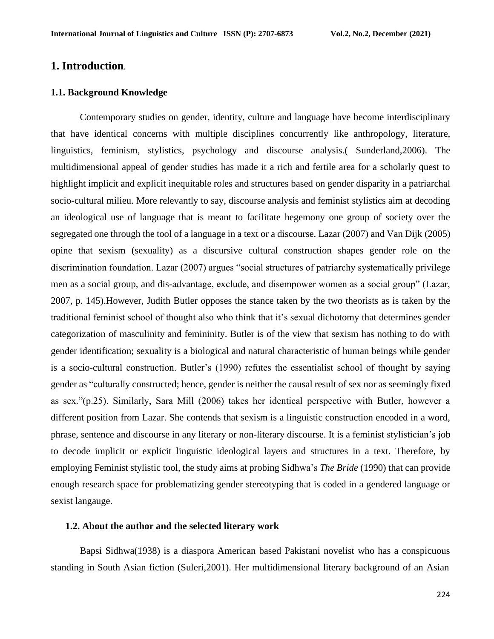### **1. Introduction**.

#### **1.1. Background Knowledge**

Contemporary studies on gender, identity, culture and language have become interdisciplinary that have identical concerns with multiple disciplines concurrently like anthropology, literature, linguistics, feminism, stylistics, psychology and discourse analysis.( Sunderland,2006). The multidimensional appeal of gender studies has made it a rich and fertile area for a scholarly quest to highlight implicit and explicit inequitable roles and structures based on gender disparity in a patriarchal socio-cultural milieu. More relevantly to say, discourse analysis and feminist stylistics aim at decoding an ideological use of language that is meant to facilitate hegemony one group of society over the segregated one through the tool of a language in a text or a discourse. Lazar (2007) and Van Dijk (2005) opine that sexism (sexuality) as a discursive cultural construction shapes gender role on the discrimination foundation. Lazar (2007) argues "social structures of patriarchy systematically privilege men as a social group, and dis-advantage, exclude, and disempower women as a social group" (Lazar, 2007, p. 145).However, Judith Butler opposes the stance taken by the two theorists as is taken by the traditional feminist school of thought also who think that it's sexual dichotomy that determines gender categorization of masculinity and femininity. Butler is of the view that sexism has nothing to do with gender identification; sexuality is a biological and natural characteristic of human beings while gender is a socio-cultural construction. Butler's (1990) refutes the essentialist school of thought by saying gender as "culturally constructed; hence, gender is neither the causal result of sex nor as seemingly fixed as sex."(p.25). Similarly, Sara Mill (2006) takes her identical perspective with Butler, however a different position from Lazar. She contends that sexism is a linguistic construction encoded in a word, phrase, sentence and discourse in any literary or non-literary discourse. It is a feminist stylistician's job to decode implicit or explicit linguistic ideological layers and structures in a text. Therefore, by employing Feminist stylistic tool, the study aims at probing Sidhwa's *The Bride* (1990) that can provide enough research space for problematizing gender stereotyping that is coded in a gendered language or sexist langauge.

#### **1.2. About the author and the selected literary work**

Bapsi Sidhwa(1938) is a diaspora American based Pakistani novelist who has a conspicuous standing in South Asian fiction (Suleri,2001). Her multidimensional literary background of an Asian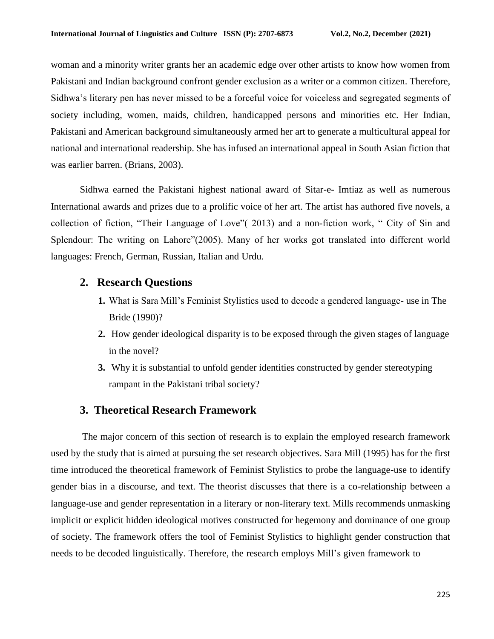woman and a minority writer grants her an academic edge over other artists to know how women from Pakistani and Indian background confront gender exclusion as a writer or a common citizen. Therefore, Sidhwa's literary pen has never missed to be a forceful voice for voiceless and segregated segments of society including, women, maids, children, handicapped persons and minorities etc. Her Indian, Pakistani and American background simultaneously armed her art to generate a multicultural appeal for national and international readership. She has infused an international appeal in South Asian fiction that was earlier barren. (Brians, 2003).

Sidhwa earned the Pakistani highest national award of Sitar-e- Imtiaz as well as numerous International awards and prizes due to a prolific voice of her art. The artist has authored five novels, a collection of fiction, "Their Language of Love"( 2013) and a non-fiction work, " City of Sin and Splendour: The writing on Lahore"(2005). Many of her works got translated into different world languages: French, German, Russian, Italian and Urdu.

### **2. Research Questions**

- **1.** What is Sara Mill's Feminist Stylistics used to decode a gendered language- use in The Bride (1990)?
- **2.** How gender ideological disparity is to be exposed through the given stages of language in the novel?
- **3.** Why it is substantial to unfold gender identities constructed by gender stereotyping rampant in the Pakistani tribal society?

### **3. Theoretical Research Framework**

The major concern of this section of research is to explain the employed research framework used by the study that is aimed at pursuing the set research objectives. Sara Mill (1995) has for the first time introduced the theoretical framework of Feminist Stylistics to probe the language-use to identify gender bias in a discourse, and text. The theorist discusses that there is a co-relationship between a language-use and gender representation in a literary or non-literary text. Mills recommends unmasking implicit or explicit hidden ideological motives constructed for hegemony and dominance of one group of society. The framework offers the tool of Feminist Stylistics to highlight gender construction that needs to be decoded linguistically. Therefore, the research employs Mill's given framework to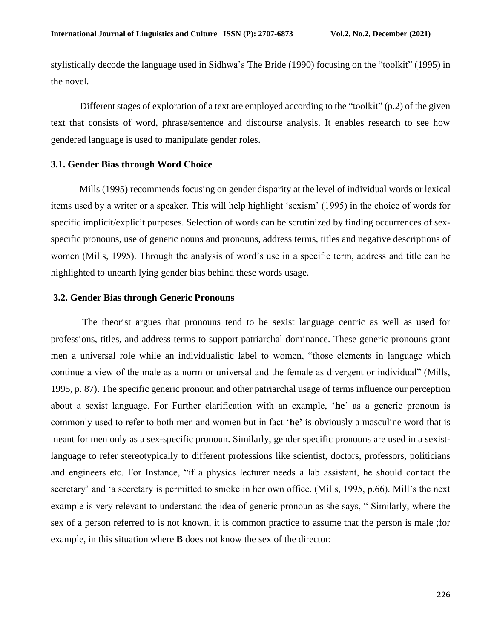stylistically decode the language used in Sidhwa's The Bride (1990) focusing on the "toolkit" (1995) in the novel.

Different stages of exploration of a text are employed according to the "toolkit" (p.2) of the given text that consists of word, phrase/sentence and discourse analysis. It enables research to see how gendered language is used to manipulate gender roles.

#### **3.1. Gender Bias through Word Choice**

Mills (1995) recommends focusing on gender disparity at the level of individual words or lexical items used by a writer or a speaker. This will help highlight 'sexism' (1995) in the choice of words for specific implicit/explicit purposes. Selection of words can be scrutinized by finding occurrences of sexspecific pronouns, use of generic nouns and pronouns, address terms, titles and negative descriptions of women (Mills, 1995). Through the analysis of word's use in a specific term, address and title can be highlighted to unearth lying gender bias behind these words usage.

#### **3.2. Gender Bias through Generic Pronouns**

The theorist argues that pronouns tend to be sexist language centric as well as used for professions, titles, and address terms to support patriarchal dominance. These generic pronouns grant men a universal role while an individualistic label to women, "those elements in language which continue a view of the male as a norm or universal and the female as divergent or individual" (Mills, 1995, p. 87). The specific generic pronoun and other patriarchal usage of terms influence our perception about a sexist language. For Further clarification with an example, '**he**' as a generic pronoun is commonly used to refer to both men and women but in fact '**he'** is obviously a masculine word that is meant for men only as a sex-specific pronoun. Similarly, gender specific pronouns are used in a sexistlanguage to refer stereotypically to different professions like scientist, doctors, professors, politicians and engineers etc. For Instance, "if a physics lecturer needs a lab assistant, he should contact the secretary' and 'a secretary is permitted to smoke in her own office. (Mills, 1995, p.66). Mill's the next example is very relevant to understand the idea of generic pronoun as she says, " Similarly, where the sex of a person referred to is not known, it is common practice to assume that the person is male ;for example, in this situation where **B** does not know the sex of the director: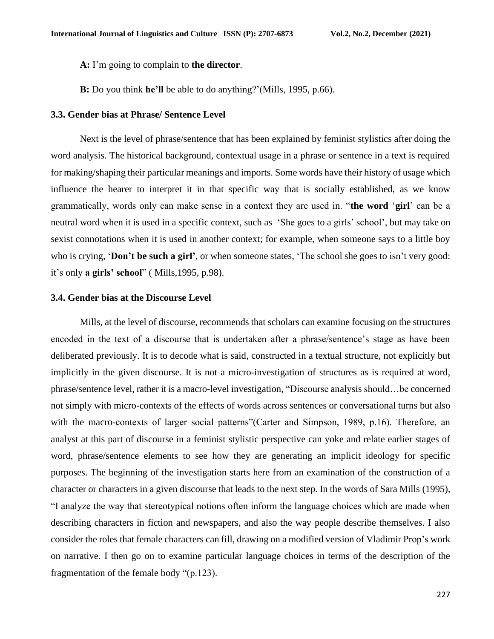**A:** I'm going to complain to **the director**.

**B:** Do you think **he'll** be able to do anything?'(Mills, 1995, p.66).

#### **3.3. Gender bias at Phrase/ Sentence Level**

Next is the level of phrase/sentence that has been explained by feminist stylistics after doing the word analysis. The historical background, contextual usage in a phrase or sentence in a text is required for making/shaping their particular meanings and imports. Some words have their history of usage which influence the hearer to interpret it in that specific way that is socially established, as we know grammatically, words only can make sense in a context they are used in. "**the word** '**girl**' can be a neutral word when it is used in a specific context, such as 'She goes to a girls' school', but may take on sexist connotations when it is used in another context; for example, when someone says to a little boy who is crying, '**Don't be such a girl'**, or when someone states, 'The school she goes to isn't very good: it's only **a girls' school**" ( Mills,1995, p.98).

### **3.4. Gender bias at the Discourse Level**

Mills, at the level of discourse, recommends that scholars can examine focusing on the structures encoded in the text of a discourse that is undertaken after a phrase/sentence's stage as have been deliberated previously. It is to decode what is said, constructed in a textual structure, not explicitly but implicitly in the given discourse. It is not a micro-investigation of structures as is required at word, phrase/sentence level, rather it is a macro-level investigation, "Discourse analysis should…be concerned not simply with micro-contexts of the effects of words across sentences or conversational turns but also with the macro-contexts of larger social patterns" (Carter and Simpson, 1989, p.16). Therefore, an analyst at this part of discourse in a feminist stylistic perspective can yoke and relate earlier stages of word, phrase/sentence elements to see how they are generating an implicit ideology for specific purposes. The beginning of the investigation starts here from an examination of the construction of a character or characters in a given discourse that leads to the next step. In the words of Sara Mills (1995), "I analyze the way that stereotypical notions often inform the language choices which are made when describing characters in fiction and newspapers, and also the way people describe themselves. I also consider the roles that female characters can fill, drawing on a modified version of Vladimir Prop's work on narrative. I then go on to examine particular language choices in terms of the description of the fragmentation of the female body "(p.123).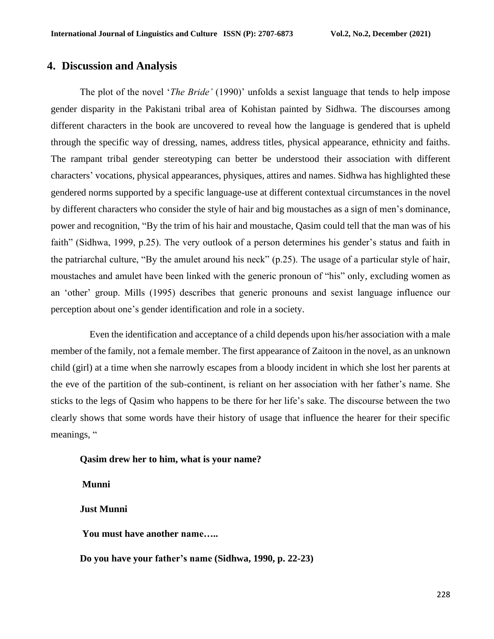## **4. Discussion and Analysis**

The plot of the novel '*The Bride'* (1990)' unfolds a sexist language that tends to help impose gender disparity in the Pakistani tribal area of Kohistan painted by Sidhwa. The discourses among different characters in the book are uncovered to reveal how the language is gendered that is upheld through the specific way of dressing, names, address titles, physical appearance, ethnicity and faiths. The rampant tribal gender stereotyping can better be understood their association with different characters' vocations, physical appearances, physiques, attires and names. Sidhwa has highlighted these gendered norms supported by a specific language-use at different contextual circumstances in the novel by different characters who consider the style of hair and big moustaches as a sign of men's dominance, power and recognition, "By the trim of his hair and moustache, Qasim could tell that the man was of his faith" (Sidhwa, 1999, p.25). The very outlook of a person determines his gender's status and faith in the patriarchal culture, "By the amulet around his neck" (p.25). The usage of a particular style of hair, moustaches and amulet have been linked with the generic pronoun of "his" only, excluding women as an 'other' group. Mills (1995) describes that generic pronouns and sexist language influence our perception about one's gender identification and role in a society.

Even the identification and acceptance of a child depends upon his/her association with a male member of the family, not a female member. The first appearance of Zaitoon in the novel, as an unknown child (girl) at a time when she narrowly escapes from a bloody incident in which she lost her parents at the eve of the partition of the sub-continent, is reliant on her association with her father's name. She sticks to the legs of Qasim who happens to be there for her life's sake. The discourse between the two clearly shows that some words have their history of usage that influence the hearer for their specific meanings, "

#### **Qasim drew her to him, what is your name?**

**Munni**

**Just Munni**

**You must have another name…..**

**Do you have your father's name (Sidhwa, 1990, p. 22-23)**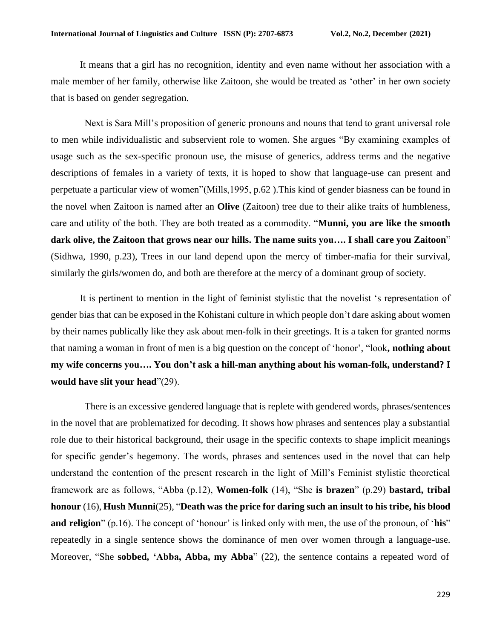It means that a girl has no recognition, identity and even name without her association with a male member of her family, otherwise like Zaitoon, she would be treated as 'other' in her own society that is based on gender segregation.

Next is Sara Mill's proposition of generic pronouns and nouns that tend to grant universal role to men while individualistic and subservient role to women. She argues "By examining examples of usage such as the sex-specific pronoun use, the misuse of generics, address terms and the negative descriptions of females in a variety of texts, it is hoped to show that language-use can present and perpetuate a particular view of women"(Mills,1995, p.62 ).This kind of gender biasness can be found in the novel when Zaitoon is named after an **Olive** (Zaitoon) tree due to their alike traits of humbleness, care and utility of the both. They are both treated as a commodity. "**Munni, you are like the smooth dark olive, the Zaitoon that grows near our hills. The name suits you…. I shall care you Zaitoon**" (Sidhwa, 1990, p.23), Trees in our land depend upon the mercy of timber-mafia for their survival, similarly the girls/women do, and both are therefore at the mercy of a dominant group of society.

It is pertinent to mention in the light of feminist stylistic that the novelist 's representation of gender bias that can be exposed in the Kohistani culture in which people don't dare asking about women by their names publically like they ask about men-folk in their greetings. It is a taken for granted norms that naming a woman in front of men is a big question on the concept of 'honor', "look**, nothing about my wife concerns you…. You don't ask a hill-man anything about his woman-folk, understand? I would have slit your head**"(29).

There is an excessive gendered language that is replete with gendered words, phrases/sentences in the novel that are problematized for decoding. It shows how phrases and sentences play a substantial role due to their historical background, their usage in the specific contexts to shape implicit meanings for specific gender's hegemony. The words, phrases and sentences used in the novel that can help understand the contention of the present research in the light of Mill's Feminist stylistic theoretical framework are as follows, "Abba (p.12), **Women-folk** (14), "She **is brazen**" (p.29) **bastard, tribal honour** (16), **Hush Munni**(25), "**Death was the price for daring such an insult to his tribe, his blood and religion**" (p.16). The concept of 'honour' is linked only with men, the use of the pronoun, of 'his" repeatedly in a single sentence shows the dominance of men over women through a language-use. Moreover, "She **sobbed, 'Abba, Abba, my Abba**" (22), the sentence contains a repeated word of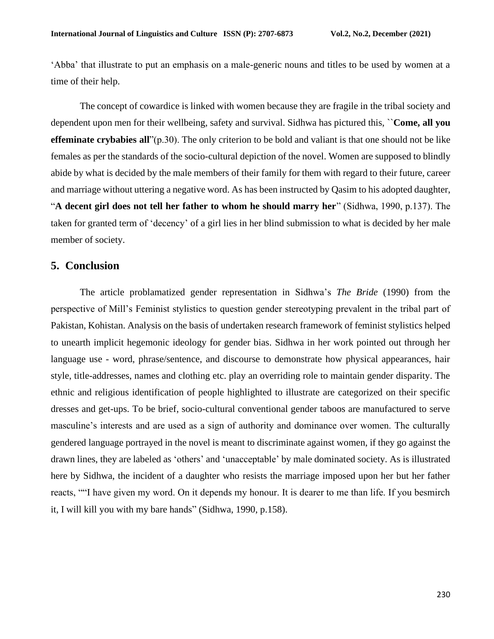'Abba' that illustrate to put an emphasis on a male-generic nouns and titles to be used by women at a time of their help.

The concept of cowardice is linked with women because they are fragile in the tribal society and dependent upon men for their wellbeing, safety and survival. Sidhwa has pictured this, ``**Come, all you effeminate crybabies all**"(p.30). The only criterion to be bold and valiant is that one should not be like females as per the standards of the socio-cultural depiction of the novel. Women are supposed to blindly abide by what is decided by the male members of their family for them with regard to their future, career and marriage without uttering a negative word. As has been instructed by Qasim to his adopted daughter, "**A decent girl does not tell her father to whom he should marry her**" (Sidhwa, 1990, p.137). The taken for granted term of 'decency' of a girl lies in her blind submission to what is decided by her male member of society.

### **5. Conclusion**

The article problamatized gender representation in Sidhwa's *The Bride* (1990) from the perspective of Mill's Feminist stylistics to question gender stereotyping prevalent in the tribal part of Pakistan, Kohistan. Analysis on the basis of undertaken research framework of feminist stylistics helped to unearth implicit hegemonic ideology for gender bias. Sidhwa in her work pointed out through her language use - word, phrase/sentence, and discourse to demonstrate how physical appearances, hair style, title-addresses, names and clothing etc. play an overriding role to maintain gender disparity. The ethnic and religious identification of people highlighted to illustrate are categorized on their specific dresses and get-ups. To be brief, socio-cultural conventional gender taboos are manufactured to serve masculine's interests and are used as a sign of authority and dominance over women. The culturally gendered language portrayed in the novel is meant to discriminate against women, if they go against the drawn lines, they are labeled as 'others' and 'unacceptable' by male dominated society. As is illustrated here by Sidhwa, the incident of a daughter who resists the marriage imposed upon her but her father reacts, ""I have given my word. On it depends my honour. It is dearer to me than life. If you besmirch it, I will kill you with my bare hands" (Sidhwa, 1990, p.158).